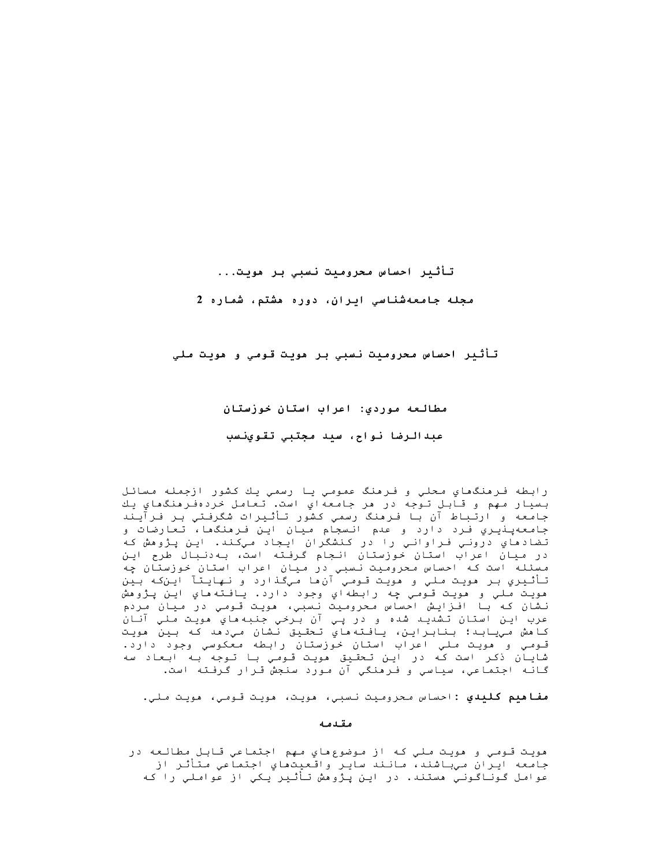تأثير احساس محروميت نسبي بر مويت...

مجله جامعهشناسی ایران، دوره مشتم، شماره 2

تأثير احساس محروميت نسبي بر مويت قومي و مويت ملي

مطالعه موردي: اعراب استان خوزستان

عبدالرضا نواح، سيد مجتبي تقوينسب

رابطه فـرهنگماي مـحلي و فـرهنگ عمومي يـا رسمي يـك كشور ازجمله مسائـل بسيار مهم و قابل توجه در هر جامعهاي است. تعامل خردهفرهنگهاي يك جامعه و ارتباط آن با فرمنگ رسمی کشور تأثیرات شگرفتی بر فرآیند جامعهپذیري فرد دارد و عدم انسجام میان این فرمنگما، تعارضات و تضادماي دروني فراواني را در كنشگران ايجاد ميكند. اين پژوهش كه در میان اعراب استان خوزستان انجام گرفته است، به دنبال طرح این مسئله است که احساس محرومیت نسبی در میان اعراب استان خوزستان چه تأثيري بر مويت ملي و مويت قومي آن ها ميگذارد و نهايتآ اين که بين مويت ملي و مويت قـومي چه رابطهاي وجود دارد. يافـته هاي اين پـژوهش نشان كه با افزايش احساس محروميت نسبي، مويت قـومي در ميان مردم عرب اين استان تشديد شده و در پي آن برخي جنبههاي هويت ملي آنان كامش مييابد؛ بنابراين، يافته ماي تحقيق نشان مي‹مد كه بين مويت قـومـي و هويـت مـلـي اعراب استان خوزستان رابطه معكوسي وجود دارد. شایـاُن ذکـر است کـه در ایـن تـحقـیق مویـت قـومـی بـا تـوجه بـه ابـعـاد سه گانـه اجـتماعي، سياسي و فـرهنگي آن مـورد سنجش قـرار گـرفـته است.

**مفاهيم كليدي :**احساس محروميت نسبي، هويت، هويت قومي، هويت ملي.

مقدمه

مويت قـومي و مويت مـلي كـه از موضوعِ هاي مـهم اجـتماعي قـابـل مطالـعه در جامعه ايران ميباشند، مانند ساير واقعيتماي اجتماعي متأثر از عوامل گوناگونی مستند. در این پژوهش تأثیر یکی از عواملی را که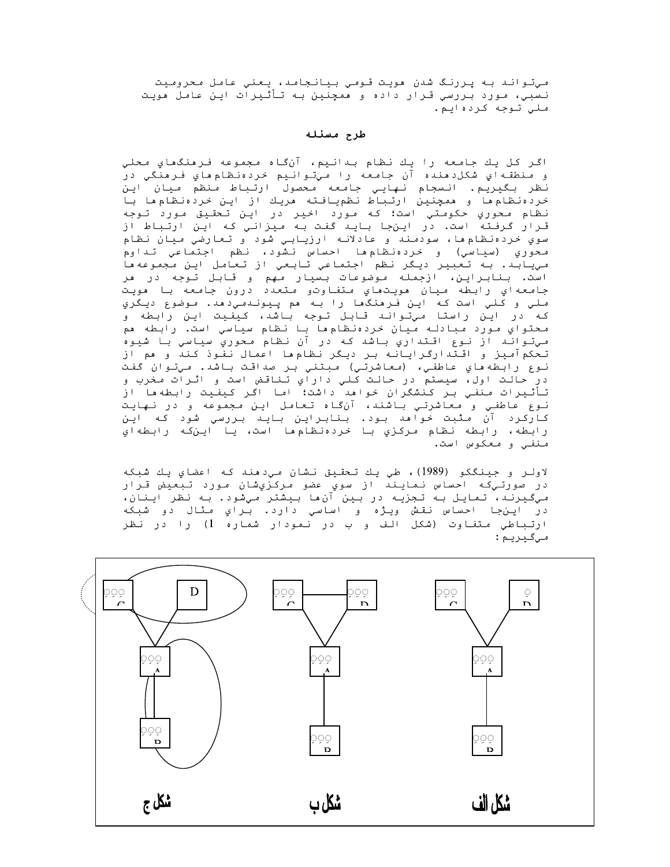مي تواند به پررنگ شدن مويت قومي بيانجامد، يعني عامل محروميت نسبي، مورد بررسي قـرار داده و همچنين بـه تـأثـيرات ايـن عامـل هويـت ملي توجه کردهايم.

#### طرح مسئله

اگر كل يك جامعه را يك نظام بدانيم، آنگاه مجموعه فرمنگهاي محلي و منطقـهاي شكل‹هنده آن جامعه را ميتـوانـيم خردهنظامِهاي فـرهنگي در نظر بگيريم. انسجام نهايي جامعه محصول ارتباط منظم ميان اين خردهنظام ها و ممچنین ارتباط نظمیافته مریك از این خردهنظام ها با نظَّام محوري حكومتيّ است؛ كه مورّد اخير در ايـن تـحقيق مورد تـوجه قرار گرفته است. در اینجا باید گفت به میزانی که این ارتباط از سوي خردهنظام ها، سودمند و عادلانه ارزيابي شود و تعارضي ميان نظام محوري (سياسي) و خردهنظام،ها احساس نشود، نظم اجتماعي تداوم مي يابد. به تعبير ديگر نظم اجتماعي تابعي از تعامل اين مجموعه ها است. بنابراین، ازجمله موضوعات بسیار مهم و قابل توجه در هر جامعهاي رابطه ميان مويتماي متفاوتو متعدد درون جامعه با مويت ملي و کلي است که اين فرهنگها را به هم پيوندميډهد. موضوع ديگري که در این راستا میتواند قابل توجه باشد، کیفیت این رابطه و محتواي مورد مبادله ميان خردهنظامها با نظام سياسي است. رابطه هم مي تواند از نوع اقـتداري بـاشد كـه در آن نظام مـحوري سياسي بـا شيوه تحکم آمیز و اقتدارگرایانه بر دیگر نظامها اعمال نفوذ کند و هم از نـوع رابطهھاي عاطفـي، (معاشرتـي) مبتني بـر صداقـت بـاشد. مـيتـوان گفت در حمالت اول، سیستم در حمالت کلی دارای تناقض است و اثرات مخرب و<br>تأثیرات منفی بر کنشگران خواهد داشت؛ اما اگر کیفیت رابطهها از نوع عاطفي و معاشرتي باشند، آنگاه تعامل اين مجموعه و در نهايت کارکرد آن مثبت خواهد بود. بنابراین باید بررسی شود که این رابطه، رابطه نظام مركزي با خردهنظامها است، يا اينكه رابطهاي منفي و معکوس است.

لاولر و جينگكو (1989)، طي يك تحقيق نشان مي دهند كه اعضاي يك شبكه در صورتـي٤ـه احساس نـمايـند از سوي عضو مـرکـزيشان مـورد تـبعيض قـرار ميگيرند، تمايل به تجزيه در بين آن ها بيشتر ميشود. به نظر اينان، در اين جا احساس نقش ويژه و اساسي دارد. براي مثال دو شبكه ارتباطي متفاوت (شكل الف و ب در نمودار شماره 1) را در نظر مىگىريم:

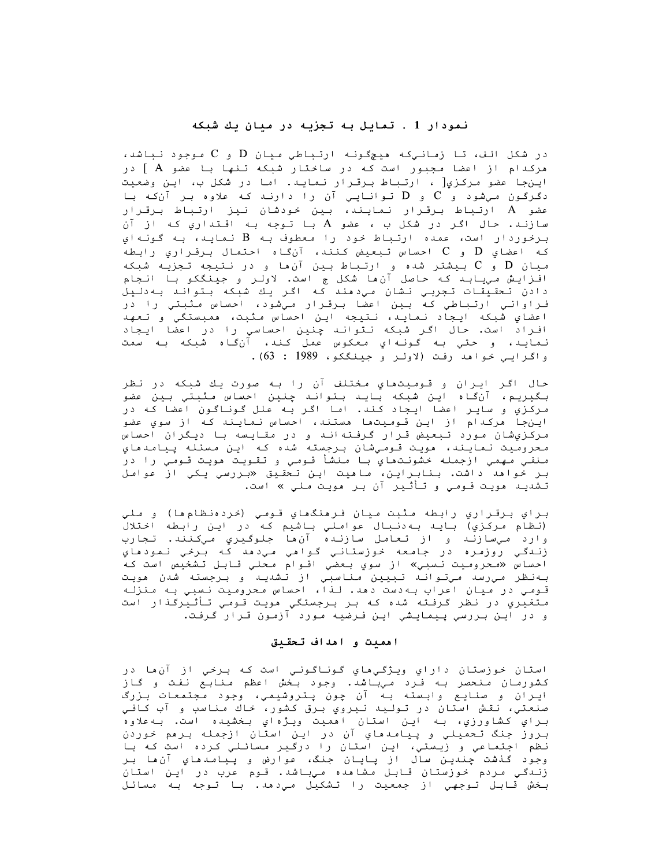# نمودار 1 . تمایل به تجزیه در میان یك شبكه

در شکل الف، تا زمانیکه هیچگونه ارتباطیِ *م*یان D و C *م*وجود نباشد، مرکدام از اعضا مجبور است که در ساختار شبکه تنها با عضو A ] در اين جا عضو مركزي[ ، ارتباط برقـرار نـمايـد. امـا در شكل ب، ايـن وضعيت دگرگون میشود و C و D توانایی آن را دارند که علاوه بر آنکه با عضو A ارتباط برقرار نمایند، بین خودشان نیز ارتباط برقرار سازند. حمال اگر در شكل ب ، عضو A با توجه به اقتداري كه از آن برخوردار است، عمده ارتباط خود را معطوف بـه B نمايـد، بـه گونـهاي كه اعضاي  $\rm D$  و  $\rm C$  احساس تبعيض كنند، آن $\rm d$ اه احتمال برقراري رابطه میان  $\rm{D}$  و  $\rm{C}$  بیشتر شده و ارتباط بین آن،ا و در نتیجه تجزیه شبکه افـزایـش مـیـابـد کـه حـاصل آن ما شکل ج است. لاولـر و جیـنـگکو بـا انـجام دادن تحقیقات تجربی نشان میدهند که اگر یك شبکه بتواند بهدلیل فراواني ارتباطي كه بين اعضا برقرار ميشود، احساس مثبتي را در اعضاي شبكه ايجاد نمايد، نتيجه اين احساس مثبت، ممبستگي و تعهد افراد است. حال اگر شبکه نتواند چنین احساسی را در اعضا ایجاد نمايد، و حتي به گونهاي معكوس عمل كند، آنگاه شبكه به سمت واكرايي خواهد رفت (لاولر وجينككو، 1989 : 63).

حال اگر ايران و قوميتهاي مختلف آن را به صورت يك شبكه در نظر بگيريم، آنگاه اين شبکه بايد بتواند چنين احساس مثبتي بين عضو مركَّزَيْ و ساير اعضا ايجاد كند. اما اگر به علل گوناگون اعضا كه در این جا مرکدام از این قومیتما مستند، احساس نمایند که از سوي عضو مرکزيشان مورد تبعيض قرار گرفتهاند و در مقايسه با ديگران احساس محروميت نمايند، مويت قـومـيشان بـرجسته شده كـه ايـن مـسئله پـيامـدهاي منفـي مـهمـي ازجمله خشونـتماي بـا مـنشأ قـومـي و تـقـويـت هويـت قـومـي را در بر خواهد داشت. بنابراین، ماهیت این تحقیق «بررسی یکی از عوا*م*ل تشديـد هويـت قـومـي و تـأثـير آن بـر هويـت مـلي » است.

براي برقراري رابطه مثبت ميان فرمنگهاي قومي (خردهنظام ها) و ملي (نظام مرکزي) بايد بهدنبال عواملي باشيم که در اين رابطه اختلال وارد ميسازند و از تعامل سازنده آنها جلوگيري ميكنند. تجارب زندگي روزمره در جامعه خوزستاني گواهي ميډهد که برخي نمودهاي احساس «محروميت نسبي» از سوي بعضي اقوام محلي قابل تشخيص است كه<br>بهنظر ميرسد ميتواند تبيين مناسبي از تشديد و برجسته شدن هويت قـومـي در ميان اعراب بـهدست دهد. لـذا، احساس مـحروميت نـسبي بـه مـنزلـه متغیری در نظر گرفته شده که بر برجستگی مویت قومی تأثیرگذار است و در این بررسی پیمایشی این فرضیه مورد آزمون قرار گرفت.

### اهميت و اهداف تحقيق

استان خوزستان داراي ويژگيهاي گوناگوني است که برخي از آنها در کشورمان منحصر به فرد میباشد. وجود بخش اعظم منابع نفت و گاز ايران و صنايع وابسته به آن چون پـتروشيمي، وجود مجتمعات بـزرگ صنعتي، نقش استان در توليد نيروي برق كشور، خاك مناسب و آب كافي بـراي کشاورزي، بـه ايـن استان اهميت ويـژهاي بـخشيده است. بـهعلاوه<br>بـروز جنگ تـحميلي و پـيامـدهاي آن در ايـن استان ازجمـله بـرهم خـوردن نظم اجتماعي و زيستي، اين استان را درگير مسائلي كرده است كه با وجود گذشت چندين سال از پايان جنگ، عوارض و پيامدهاي آنها بر زنـدگـی مـردم خوزستان قـابـل مـشاهده مـیباشد. قـوم عرب در ایـن استان بخش قابل توجهي از جمعيت را تشكيل ميدهد. با توجه به مسائل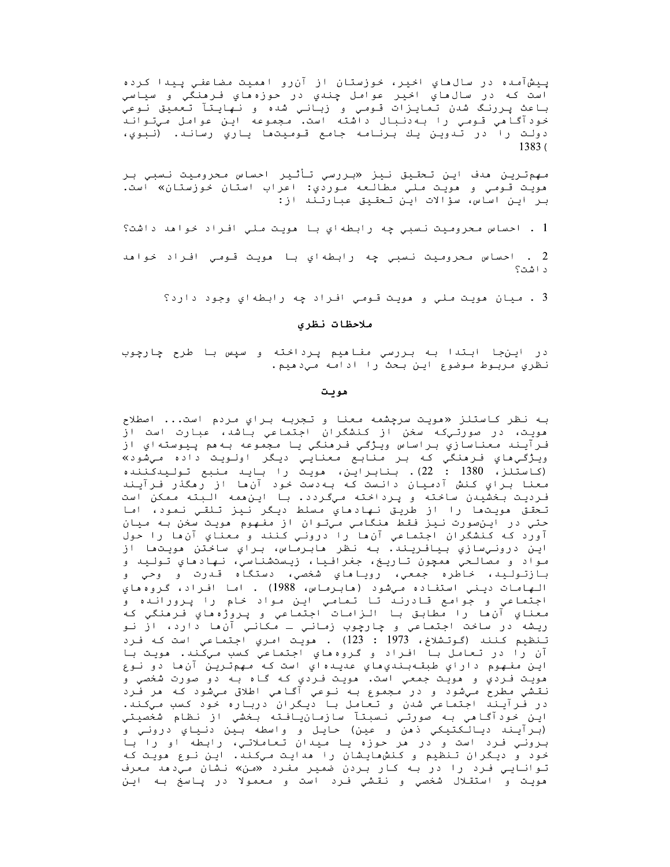پيشآمده در سالءاي اخير، خوزستان از آن٫و امميت مضاعفي پيدا کرده است که در سالماي اخير عوامل چندي در حوزهماي فرمنگي و سياسي باعث پررنگ شدن تمایزات قـومی و زبـانـی شده و نـهایـنّآ تـعمیّق نـوعیّ<br>خودآگـامی قـومـی را بـه‹نـبال داشته است. مـجموعه ایـن عوامل مـیتـوانـد دولت را در تدوين يك برنامه جامع قوميتها ياري رساند. (نبوي،  $1383($ 

مهم ترين مدف اين تحقيق نيز «بررسي تأثير احساس محروميت نسبي بر هويت قـومـي و هويـت مـلـي مطالـعه موردي: اعراب استان خوزستان» است. بر این اساس، سؤالات این تحقیق عبارتند از:

1 . احساس محروميت نسبي چه رابطهاي با هويت ملي افراد خواهد داشت؟

2 . احساس محروميت نسبي چه رابطهاي با هويت قـومي افـراد خواهد د اشت؟

3 . ميان مويت ملي و مويت قـومي افـراد چه رابطهاي وجود دارد؟

### ملاحظات نظرى

در اینجا ابتدا به بررسي مفاهیم پرداخته و سپس با طرح چارچوب نظري مربوط موضوع اين بحث را ادامه مي دهيم.

#### هويت

به نظر كاستلز «مويت سرچشمه معنا و تجربه براي مردم است... اصطلاح .<br>مويت، در صورتيکه سخن از کنشگران اجتماعي باشد، عبارت است از فـرآيـند معناسازي بـراساس ويـژگـي فـرهنگي يـا مـجموعه بـهـم پـيوستهاي از ويژگي هاي فرمنگي که بر منابع معنايي ديگر اولويت داده ميشود» (كاستلز، 1380 : 22). بنابراين، مويت را بايد منبع توليهكننده معنا براي كنش آدميان دانست كه بهدست خود آن ها از رهگذر فرآيند فرديت بخشيدن ساخته و پرداخته ميگردد. با اينهمه البته ممكن است تحقق مويتما را از طريق نهادماي مسلط ديگر نيز تلقي نمود، اما حتي در اينصورت نيز فقط منگامي ميتوان از مفهوم مويت سخن به ميان آورد كه كنشگران اجتماعي آن ها را دروني كنند و معناي آن ها را حول اين درونيسازي بيافريند. به نظر مابرماس، براي ساختن مويتما از مواد و مصالحي همچون تاريخ، جغرافيا، زيستشناسي، نهادهاي توليد و بازتوليد، خاطره جمعي، روياهاي شخصي، دستگاه قدرت و وحي و الهامات ديني استفاده ميشود (مابرماس، 1988) . اما افراد، گروه هاي اجتماعي و جوامع قادرند تا تمامي اين مواد خام را پرورانده و معناي آن ها را مطابق با الزامات اجتماعي و پروژه هاي فرمنگي كه ريشه در ساخت اجتماعي و چارچوب زماني ـ مکاني آن،ا دارد، از نو تنظيم كنند (گوتشلاخ، 1973 : 123) . هويت امري اجتماعي است كه فرد آن را در تعامل با افراد و گروههاي اجتماعي کسب ميکّند. مويت با اين مفهوم داراي طبقهبنديهاي عديدهاي است که مهمترين آنها دو نوع مويت فـردي و مويت جمعي است. مويت فـردي کـه گـاه بـه دو صورت شخصي و نقشي مطرح مي شود و در مجموع به نوعي آگامي اطلاق مي شود که مر فرد در فَرآيندَ اجتماعي شدن و تعامل با ديگران درباره خود کسب ميکند. اين خودآگاهي به صورتي نسبتآ سازمانيافته بخشي از نظام شخصيتي (برآيند ديالکتيکي ذهن و عين) حايل و واسطه بين دنياي دروني و برونی فرد است و در مر حوزه یا میدان تعاملاتی، رابطه او را با خود و دیگران تنظیم و کنشهایشان را مدایت میکند. این نوع مویت که توانایی فرد را در به کار بردن ضمیر مفرد «من» نشان میدهد معرف مويت و استقلال شخصي و نقشي فرد است و معمولا در پاسخ به اين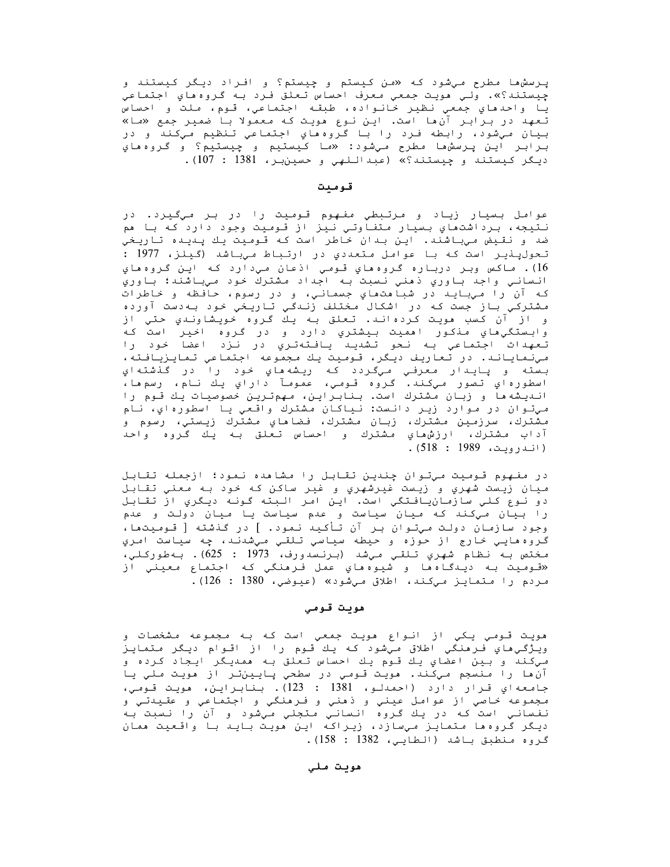پـرسشها مطرح مـِشود کـه «من کـِستم و چِیستم؟ و افـراد دیـگر کـیستند و چیستند؟». ولی مویت جمعی معرف احساس تعلق فرد به گروه های اجتماعی يا واحدهاي جمعي نظير خانواده، طبقه اجتماعي، قوم، ملت و احساس تعهد در برابر آن ها است. این نوع مویت که معمولا با ضمیر جمع «ما» بيان مي شود، رابطه فرد را با گروه هاي اجتماعي تنظيم ميكند و در بـرابـر ايـن پـرسشھا مطرح مـيشود: «ما كـيستيم و چيستيم؟ و گـروهھاي ديگر كيستند و چيستند؟» (عبداللهي و حسين بر، 1381 : 107).

#### قوميت

عوامل بسيار زياد و مرتبطي مفهوم قوميت را در بر ميگيرد. در نـتيجه، بـرداشتماي بـسيار مـتفـاوتـي نـيز از قـومـيت وجود دارد كـه بـا مم ضد و نقيض ميباشند. اين بدان خاطر است كه قوميت يك پديده تاريخي تحولپنیر است که با عوامل متعددي در ارتباط میباشد (گیلز، 1977 : 16). ماکس وبر درباره گروهماي قومي اذعان میډارد که اين گروهماي انساني واجد باوري ذهني نسبت به اجداد مشترك خود ميباشند؛ باوري که آن را ميبايد در شباهتهاي جسماني، و در رسوم، حافظه و خاطرات مشترکي باز جست که در اشکال مختلف زندگي تاريخي خود بهدست آورده و از آن کسب مویت کردهاند. تعلق به یك گروه خویشاوندي حتي از وابستگي،هاي مذكور اهميت بيشتري دارد و در گروه اخير است كه تعهدات اجتماعي به نحو تشديد يافتهتري در نزد اعضا خود را مي نماياند. در تعاريف ديگر، قـوميت يك مجموعه اجتماعي تمايزيافته، بسته و پايدار معرفي ميگردد که ريشهماي خود را در گذشتهاي اسطورهاي تصور ميکند. گروه قومي، عمومآ داراي پك نام، رسمها، اندیشه ها و زبان مشترك است. بنابراین، مهمترین خصوصیات یك قوم را مي توان در موارد زير دانست: نياكان مشترك واقعي يا اسطورهاي، نام مشترك، سرزمين مشترك، زبان مشترك، فضاهاي مشترك زيستي، رسوم و آداب مشترك، ارزشهاي مشترك و احساس تعلق به يك گروه واحد (انـدرويـت، 1989 : 518).

در مفهوم قوميت ميتوان چندين تقابل را مشاهده نمود؛ ازجمله تقابل ميان زيست شهري و زيست غيرشهري و غير ساكن كه خود به معنى تقابل دو نوع كلي سازمانيافتگي است. اين امر البته گونه ديگري از تقابل را بیان میکند که میان سیاست و عدم سیاست یا میان دولت و عدم وجود سازمان دولت میتوان بر آن تأکید نمود. ] در گذشته [ قـومیتها، گروه هايي خارج از حوزه و حيطه سياسي تلقي ميشدند، چه سياست امري مختص به نظام شهري تلقي ميشد (برنسدورف، 1973 : 625). بهطوركلي،َ «قـوميت بـه ديـدگـاهھا و شيوهھاي عمل فـرهنگي کـه اجـتماع معيني از مردم را متمايز ميكند، اطلاق ميشود» (عيوضي، 1380 : 126).

#### ھويت قومي

هويت قـومـي يـكـي از انـواع هويـت جمعـي است كـه بـه مـجمـوعه مـشخصات و ويژگي هاي فر هنگي اطلاق مي شود كه يك قوم را از اقوام ديگر متمايز ميکند و بين اعضاي يك قـوم يك احساس تـعلق بـه همديـگر ايـجاد كـرده و آنءا را منسجم میکند. مویت قـومی در سطحی پـایـینتـر از مویـت مـلی یـا جامعه اي قرار دارد (احمدلو، 1381 : 123). بنابراين، مويت قومي، مجموعه خاصي از عوامل عيني و ذهني و فرهنگي و اجتماعي و عقيدتي و نفساني است که در یك گروه انساني متجلي ميشود و آن را نسبت به دیگر گروه ها متمایز میسازد، زیراکه این مویت باید با واقعیت ممان كروه منطبق باشد (الطايي، 1382 : 158).

# ھويت ملي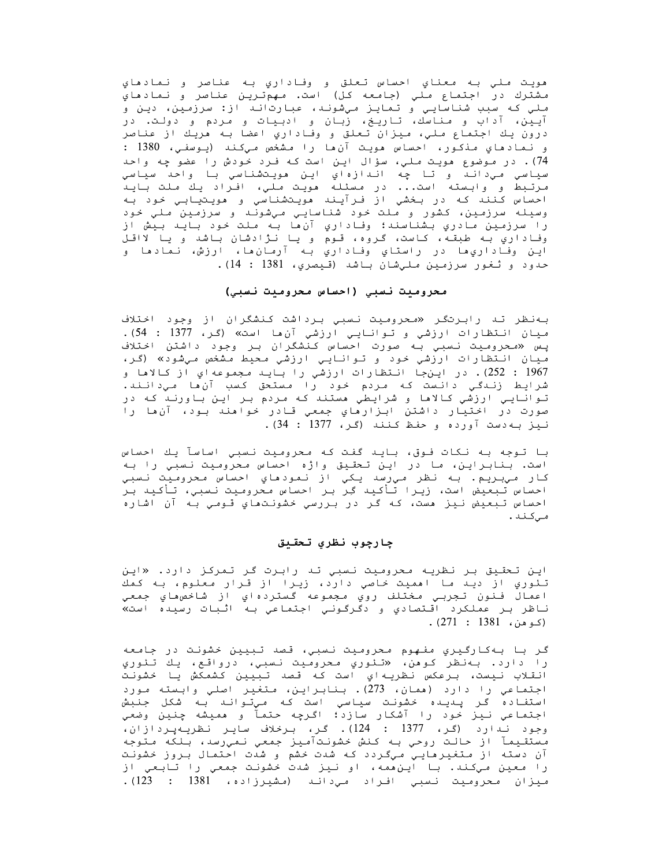هويت ملي به معناي احساس تعلق و وفاداري به عناصر و نمادهاي مشترك در اجتماع ملي (جامعه كل) است. مهمترين عناصر و نمادهاي ملي که سبب شناسايي و تمايز ميشوند، عبارتاند از: سرزمين، دين و آیین، آداب و مناسك، تاریخ، زبان و ادبیات و مردم و دولت. در درون يك اجتماع ملي، ميزان تعلق و وفاداري اعضا به هريك از عناصر و نـمادهاي مـذکـور، احساس هويـت آن ها را مـشخص مـیکـنـد (پـوسفـی، 1380 : 74). در موضوع هويت ملي، سؤال اين است كه فرد خودش را عضو چه واحد سياسي ميڊاند و تا چه اندازهاي اين مويتشناسي با واحد سياسي مرتبط و وابسته است... در مسئله مويت ملي، افراد يك ملت بايد احساس کنند که در بخشي از فرآیند مویتشناسي و مویتیابي خود به وسيله سرزمين، كشور و ملت خود شناسايي ميشوند و سرزمين ملي خود را سرزمين مادري بشناسند؛ وفاداري آنءا به ملت خود بايد بيش از وفاداري به طبقه، كاست، گروه، قـوم و يا نـژادشان باشد و يا لااقل ايـن وفـاداري،هـا در راستـاي وفـاداري بـه آرمـان،هـا، ارزش، نـمـادهـا و حدود و ثغور سرزمين مليشان باشد (قيصري، 1381 : 14).

#### محروميت نسبي (احساس محروميت نسبي)

به نظر تد رابرتگر «*محر*ومیت نسبیِ برداشت کنشگران از وجود اختلاف ميان انتظارات ارزشي وتوانايي ارزشي آن ها است» (گر، 1377 : 54). پس «محرومیت نسب*ی* به صورت احساس کنشگران بر وجود داشتن ا*خ*تلاف میان انتظارات ارزشي *خ*ود و توانايي ارزشي محیط مشخص ميشود» (گر، 1967 : 252). در این جا انتظارات ارزشی را باید مجموعه ای از کالاها و شرایط زندگی دانست که مردم خود را مستحق کسب آن ما میدانند.<br>توانایی ارزشی کالاها و شرایطی مستند که مردم بر این باورند که در صورت در اختيار داشتن ابزارهاي جمعي قادر خواهند بود، آنها را نيز به دست آورده وحفظ كنند (كر، 1377 : 34).

با توجه بـه نـكات فـوق، بـايـد گفت كـه مـحروميت نـسبـي اساسآ يـك احساس است. بنابراین، ما در این تحقیق واژه احساس محرومیت نسبیِ را به کار ميبريم. به نظر ميرسِد يکي از نمودهاي احساس محروميت نسبي احساس تبعيض است، زيرا تأكيد گِر بر احساس محروميت نسبي، تأكيد بر احساس تبعيض نيز مست، که گر در بررسي خشونتماي قومي به آن اشاره مىكند.

# جارجوب نظرى تحقيق

این تحقیق بر نظریه محرومیت نسبیِ تد رابرت گر تمرکز دارد. «این تئوري از ديـد مـا اهميت خـاصي دارد، زيـرا از قـرار معلوم، بـه كمك اعمال فنون تجربي مختلف روي مجموعه گستردهاي از شاخصهاي جمعي ناظر بر عملکرد اقتصادي و دگرگوني اجتماعي به اثبات رسيده است» (كوهن، 1381 : 271).

گر با بهکارگيري مفهوم محروميت نسبي، قصد تبيين خشونت در جامعه را دارد. بهنظر كوهن، «تئوري محروميت نسبي، درواقع، يك تئوري انقلاب نیست، برعکس نظریهاي است که قصد تبیین کشمکش یا خشونت اجتماعي را دارد (ممان، 273). بنابراين، متغير اصلي وابسته مورد استفاده گر پديده خشونت سياسي است که ميتواند به شکل جنبش اجتماعي نيبز خود را آشكار سازد؛ اگرچه حتماً و هميشه چنين وضعي<br>وجود نـدارد (گر، 1377 : 124). گر، بـرخلاف سايـر نظريـهپـردازان، مستقیماً از حالت روحی به کنش خشونتآمیز جمعی نمیرسد، بلکه متوجه آن دسته از متغیرهایی میگردد که شدت خشم و شدت احتمال بروز خشونت را معين ميكند. با اين همه، او نيز شدت خشونت جمعي را تابعي از ميزان محروميت نسبى افراد مىدانـد (مشيرزاده، 1381 : 123).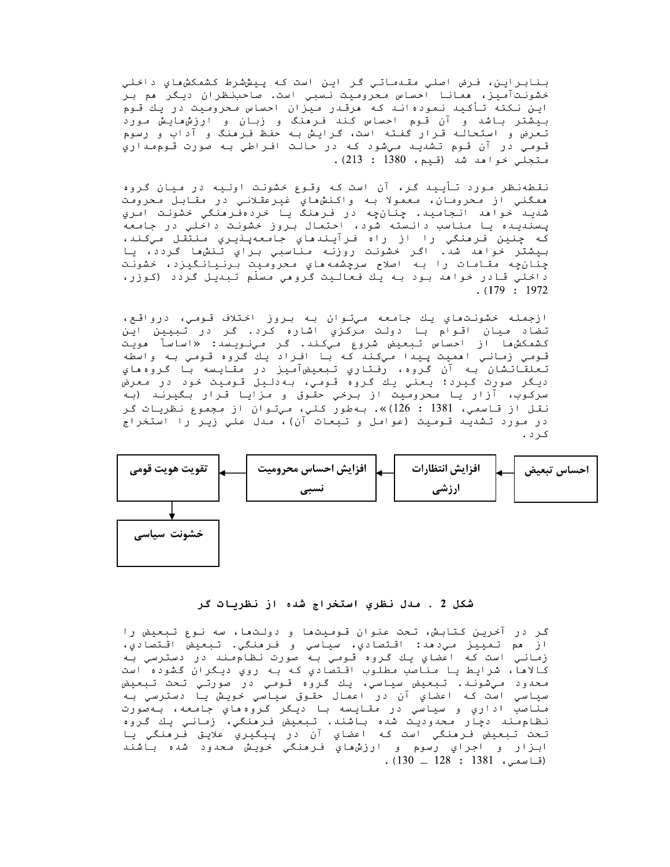بنابراين، فرض اصلي مقىدماتي گر اين است كه پيششرط كشمكش ماي داخلي خشونتآمیز، ممانا احساس محرومیت نسبیِ است. صاحبنظران دیگر مم بر این نکته تأکید نمودهاند که مرقدر میزان احساس محرومیت در یك قـوم بیشتر باشد و آن قـوم احساس کـنـد فـرمنگ و زبـان و ارزشهایـش مـورد تعرض و استحالـه قـرار گفـتـه است، گـرایـش بـه حفـظ فـرمنگ و آداب و رسوم قـومـي در آن قـوم تـشديـد مـيشود کـه در حـالـت افـراطي بـه صورت قـوم مـداري متجلي خواهد شد (قيم، 1380 : 213).

نقطهنظر مورد تأیید گر، آن است که وقوع خشونت اولیه در میان گروه همگني از محرومان، معمولا به واکنشهاي غيرعقلاني در مقابل محرومت شديـد خوامد انـجامـيـد. چـنـانچـه در فـرمنگ يـا خردهفَـرمنگي خشونـت اَمـري پسندیده یا مناسب دانسته شود، احتمال بروز خشونت داخلیِ در جامعه كه چنين فرمنگي را از راه فرآيندهاي جامعهپنيري منتقل ميكند، بيشتر خواهد شد. اگر خشونت روزنه مناسبي براي تنشها گردد، يا چنانچه مقامات را به اصلاح سرچشمههاي محروميت برنيانگيزد، خشونت د اخلي قادر خوامد بود به يك فعاليت گرومي مسلّم تبديل گردد (كوزر،  $. (179 : 1972)$ 

ازجمله خشونتهاي يك جامعه ميتوان به بروز اختلاف قومي، درواقع، تضاد ميان اقوام با دولت مركزي اشاره كرد. گر در تبيين اين کشمکشها از احساس تـبعیض شروع میکند. گر میِنویسد: «اساسآ مویت قومی زمانی اممیت پیدا میکند که با افراد یك گروه قومی به واسطه تعلقاتشان به آن گروه، رفتاري تبعيضآميز در مقايسه با گروههاي ديگر صورت گيرد؛ يعني يك گروه قـومي، بـهدليل قـوميت خود در معرض سرکوب، ازار یا محرومیت از برخی حقوق و مزایا قرار بگیرند (به نقل از قاسمي، 1381 : 126)». بهطور كلي، ميتوان از مجموع نظريات گر در مورد تشدید قومیت (عوامل و تبعات آن)، مدل علي زير را استخراج كرد.



شکل 2 . مدل نظری استخراج شده از نظریات گر

گر در آخرین کتابش، تحت عنوان قـومیتھا و دولـتھا، سه نـوع تـبعیض را از هم تمييز مي‹هد: اقتصادي، سياسي و فرمنگي. تبعيض اقتصادي، زماني است كه اعضاي يك گروه قـومي بـه صورت نظام،ند در دسترسي بـه کالاها، شرایط یا مناصب مطلوب اقتصادي که به روي دیگران گشوده است محدود ميشوند. تبعيض سياسي، يك گروه قومي در صورتي تحت تبعيض سياسي است کـه اعضاي آن در اعمال حقـوق سياسي خويـش يـا دسترسي بـه مناصب اداري و سياسي در مقايسه با ديگر گروه هاي جامعه، به صورت نظام، .<br>نظام، ند يجار محدوديت شده باشند. تبعيض فرمنگي، زماني يك گروه<br>تحت تبعيض فرمنگي است كه اعضاي آن در پيگيري علايق فرمنگي يا ابـزار و اجراي رسوم و ارزشهاي فـرهنگي خويـش مـحدود شده بـاشند . (قاسمى، 1381 : 128 ـ 130).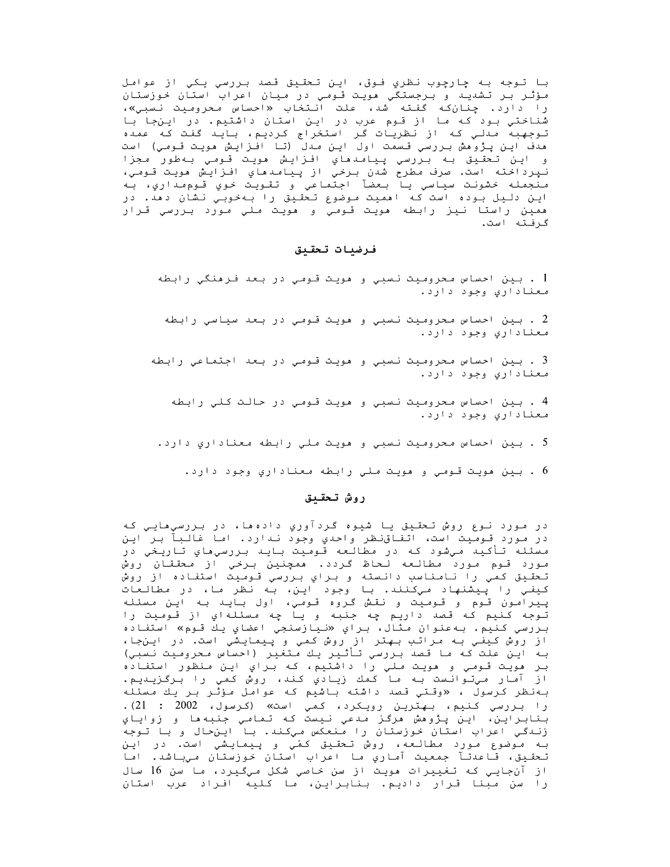با توجه به چارچوب نظري فوق، اين تحقيق قصد بررسي يکي از عوامل مؤثر بر تشديد و برجستگي مويت قـومي در ميان اعراب استان خوزستان را دارد. چنانکه گفته شد، علت انتخاب «احساس محرومیت نسبی»، شناختي بود كه ما از قوم عرب در اين استان داشتيم. در اينجا با توجهبه مدلي كه از نظريات گر استخراج كرديم، بايد گفت كه عمده مدف این یژوهش بررسی قـسمت اول این مـدل (تـا افـزایـش هویـت قـومـی) است و اين تحقيق به بررسي پيامدهاي افزايش هويت قـومي بـهطور مجزا نپرداخته است. صرف مطرح شدن برخي از پيامدهاي افزايش هويت قومي، منجمله خشونت سياسي يا بعضآ اجتماعي و تقويت خوي قوم اري، به اين دليل بوده است كه امميت موضوع تحقيق را به خوبي نشان دمد. در ممين راستا نيز رابطه مويت قـومي و مويت ملي مـورد بـررسي قـرار گرفته است.

# فرضيات تحقيق

1 . بين احساس محروميت نسبي و مويت قـومي در بـعد فـرمنگي رابطه معناداری وجود دارد.

2 . بين احساس محروميت نسبي و مويت قـومي در بعد سياسي رابطه معناداری وجود دارد.

3 . بين احساس محروميت نسبي و مويت قـومي در بـعد اجـتماعي رابطه معناداري وجود دارد.

4 . بين احساس محروميت نسبي و مويت قـومي در حالت كـلي رابطه معناداري وجود دارد.

5 . بين احساس محروميت نسبي و هويت ملي رابطه معناداري دارد.

6 . بين مويت قـومـي و مويـت مـلـي رابـطه مـعناداري وجود دارد.

#### روش تحقيق

در مورد نوع روش تحقيق يا شيوه گردآوري دادهها، در بررسيهايي که در مورد قـومـيت است، اتـفـاقنـظر واحدي وجود نـدارد. امـا غالـبآ بـر ايـن مسئله تأكيد ميشود كه در مطالعه قوميت بايد بررسيهاي تاريخي در مورد قوم مورد مطالعه لحاظ گردد. همچنین برخي از محققان روش تحقيق كمي را نامناسب دانسته و براي بررسي قوميت استفاده از روش پیرامون قـوم و قـومیت و نقش گـروه قـومـی، اول بـایـد بـه ایـن مسئـله توجه كنيم كه قصد داريم چه جنبه و يا چه مسئلهاي از قوميت را بررسي كنيم. به عنوان مثال، براي «نيازسنجي اعضاي يك قوم» استفاده از روش کیفی به مراتب بهتر از روش کمی و پیمایشی است. در اینجا،<br>از روش کیفی به مراتب بهتر از روش کمی و پیمایشی است. در اینجا، بـر مِويـت قـومـي و مويـت مـلـي را داشتيم، كـه بـراي ايـن مـنظور استفـاده از آمار میتوانست به ما کمك زيادي كند، روش کمي را برگزيديم. بهنظر كرسول ، «وقتي قصد داشته باشيم كه عوامل مؤثر بر يك مسئله را بررسی کنیم، بهترین رویکرد، کمی است» (کرسول، 2002 : 21). بنابراين، اين پژوهش مرگز مدعي نيست كه تمامي جنبهها و زواياي زندگی اعراب استان خوزستان را منعکس میکند. با اینحال و با توجه بـه مـوضوع مـورد مطالـعه، روش تـحقـيق كمَي و پـيمايـشي است. در ايـن<br>تـحقـيق، قـاعدتـآ جمعـيت آمـاري مـا اعراب استـان خـوزستـان مـيبـاشد. امـا از آن جایی که تغییرات مویت از سن خاصی شکل میگیرد، ما سن 16 سال را سن مبنا قرار داديم. بنابراين، ما كليه افراد عرب استان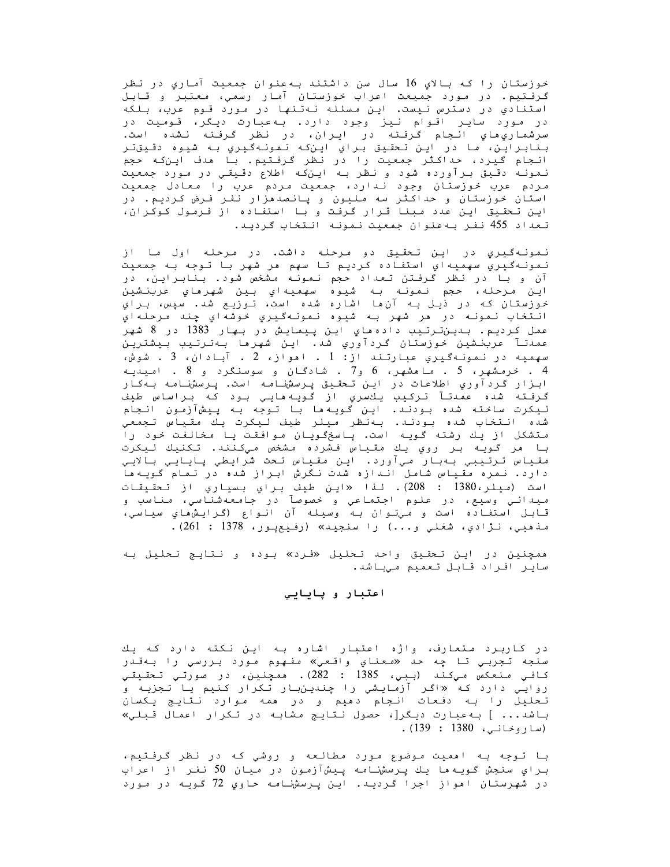خوزستان را که بالاي 16 سال سن داشتند بهعنوان جمعيت آماري در نظر گرفتیم. در مورد جمیعت اعراب خوزستان آمار رسمی، معتبر و قابل استنادي در دسترس نيست. اين مسئله نهتنها در مورد قوم عرب، بلكه در مورد سایر اقوام نیز وجود دارد. به عبارت دیگر، قومیت در سرشماريِ هايِ انجامِ گرفته در ايران، در نظر گرفته نشده است. بنابراين، ما در اين تحقيق براي اينکه نمونهگيري به شيوه دقيقتر انجام گیرد، حداکثر جمعیت را در نظر گرفتیم. با هدف این که حجم<br>انجام گیرد، حداکثر جمعیت را در نظر گرفتیم. با هدف این که حجم مردم عرب خوزستان وجود ندارد، جمعیت مردم عرب را معادل جمعیت استان خوزستان و حداکثر سه ملیون و پانصدهزار نفر فرض کردیم. در این تحقیق این عدد مبنا قرار گرفت و با استفاده از فرمول کوکران، تعداد 455 نفر به عنوان جمعیت نمونه انتخاب گردید.

نمونهگيري در اين تحقيق دو مرحله داشت. در مرحله اول ما از نمونهگيري سهميهاي استفاده كرديم تا سهم هر شهر با توجه به جمعيت آن و با در نظر گرفتن تعداد حجم نمونه مشخص شود. بنابراین، در اين مرحله، حجم نمونه به شيوه سهميهاي بين شهرماي عربنشين خوزستان كه در ذيل به آنها اشاره شده است، توزيع شد. سپس، براي انتخاب نمونه در هر شهر به شيوه نمونهگيري خوشهاي چند مرحلهاي عمل كرديم. بىينترتيب دادەماي اين پيمايش در بهار 1383 در 8 شهر عمدتـآ عربنـشين خوزستان گردآوري شد. ايـن شهرها بـهتـرتـيب بـيشتريـن سهميه در نمونهگيري عبارتند از: 1 . امواز، 2 . آبادان، 3 . شوش، 4 . خرمشهر، 5 . ما هشهر، 6 و7 . شادگان و سوسنگرد و 8 . امیدیه ابـزار گـردآوري اطلاعات در ايـن تـحقـيق پـرسشنـامـه است. پـرسشنـامـه بـهکـار گرفته شده عمدتآ ترکیب یكسري از گویههایي بود که براساس طیف لیکرت ساخته شده بودنـد. ایـن کَویـهما بـا تـوجه بـه پـیشآزمـون انـجام شده انتخاب شده بودند. بەنظر میلر طیف لیکرت یك مقیاس تجمعي متشکل از یك رشته گویه است. پاسخگویان موافقت یا مخالفت خود را با مر گويه بر روي يك مقياس فشرده مشخص ميكنند. تكنيك ليكرت مقياس ترتيبي بهبار ميآورد. اين مقياس تحت شرايطي پايايي بالايي دارد. نمره مقیاس شامل اندازه شدت نگرش ابراز شده در تمام گویهها است (ميلر،1380 : 208). لنا «اين طيف براي بسياري از تحقيقات ميداني وسيع، در علوم اجتماعي و خصوصآ در جامعهشناسي، مناسب و قابل استفاده است و ميتوان به وسيله آن انواع (گرايشهاي سياسي، مذهبي، نـژادي، شغلي و...) را سنجيد» (رفيعپـور، 1378 : 261).

ممچنين در اين تحقيق واحد تحليل «فرد» بوده و نتايج تحليل به ساير افراد قابل تعميم ميباشد.

### اعتبار و پايايي

در کاربرد متعارف، واژه اعتبار اشاره به این نکته دارد که یك سنجه تجربي تا چه حد «*م*عناي واقعي» مفهوم مورد بررسي را بهقدر كافي منعكس ميكند (ببي، 1385 : 282). ممچنين، در صورتي تحقيقي روایی دارد که «اگر آزمایشی را چندینLبار تکرار کنیم یا تجزیه و تحلیل را به دفعات انجام دمیم و در ممه موارد نتایج یکسان باشد... ] به عبارت دیگر[، حصول نتایج مشابه در تکرار اعمال قبلي» (ساروخاني، 1380 : 139).

با تـوجه بـه امميت مـوضوع مـورد مطالـعه و روشي كـه در نظر گـرفـتيم، براي سنجش گويه ها يك پرسشنامه پيشآزمون در ميان 50 نفر از اعراب در شهرستان امواز اجرا گردید. این پرسشنامه حاوي 72 گویه در مورد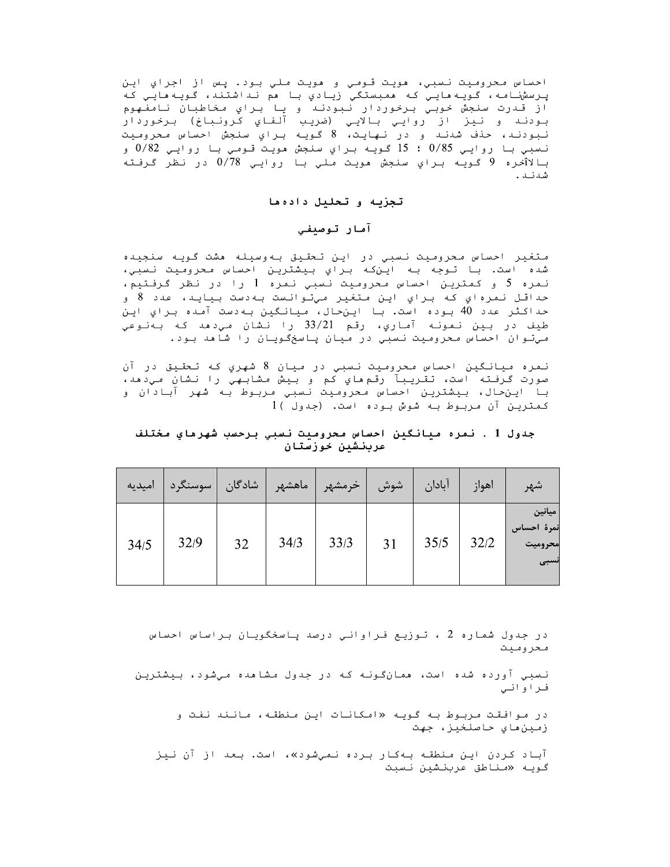احساس محروميت نسبي، مويت قومي و مويت ملي بود. پس از اجراي اين پرسشنامه، گویـهمایـی کـه ممبستگی زیـادی بـا مم نـداشتند، گویـهمایـی کـه .<br>از قـدرت سنجش خوبـي بـرخوردار نـبـودنـد و يـا بـراي مخاطبـان نـامغـهوم<br>بـودنـد و نـيـز از روايـي بـالايـي (ضريـب آلفـاي كـرونـبـاخ) بـرخوردار<br>نـيـدنـد منفـثـنـف نبودند، حنف شدند و در نهايت، 8 گويه براي سنجش احساس محروميت نسبي با روايـي 0/85 ؛ 15 گـويـه بـراي سنجش مويـت قـومـي بـا روايـي 0/82 و بالاîخره 9 گويه براي سنجش مويت ملي با روايي 0/78 در نظر گرفته شدنـد .

# تجزيه و تحليل دادهما

# آمار توصيفي

متغير احساس محروميت نسبى در اين تحقيق بهوسيله هشت گويه سنجيده شده است. با توجه به اينكه براي بيشترين احساس محروميت نسبي، نمره 5 و کمترین احساس *م*حرومیت نسبی نمره 1 را در نظر گرفتیم، حداقل نمرهاي که براي اين متغير ميتوانست بهدست بيايد، عدد 8 و حداكثر عدد 40 بوده است. با اينحال، ميانگين بهدست آمده براي اين طيف در بين نمونه آماري، رقم 33/21 را نشان مي دهد كه بهنوعي ميتوان احساس محروميت نسبي در ميان پاسخگويان را شاهد بود.

نمره ميانگين احساس محروميت نسبي در ميان 8 شهري كه تحقيق در آن صورت گرفته است، تقريبآ رقمهاي كم و بيش مشابهي را نشان ميدهد، با اينحال، بيشترين احساس محروميت نسبي مربوط به شهر آبادان و كمترين آن مربوط به شوش بوده است. (جدول )1

جدول 1 . نمره ميانگين احساس محروميت نسبي برحسب شهرماي مختلف عربنشين حوزستان

| اميديه | سوسنگرد | شادگان | ماهشهر | خرمشهر | شوش | آبادان | اهواز | شهر                                     |
|--------|---------|--------|--------|--------|-----|--------|-------|-----------------------------------------|
| 34/5   | 32/9    | 32     | 34/3   | 33/3   | 31  | 35/5   | 32/2  | ميانين<br>نمرة احساس<br>محروميت<br>نسبى |

در جدول شماره 2 ، توزیع فراوانی درصد پاسخگویان براساس احساس محروميت

نسبی آورده شده است، همانگونه که در جدول مشاهده میشود، بیشترین فـراوانـي

در موافقت مربوط به گویه «امکانات این منطقه، مانند نفت و زمين هاي حاصلخيز، جهت

آباد کردن این *م*نطقه بهکار برده نم*یِش*ود»، است. بعد از آن نیز گویـه «مـناطق عربنـشین نـسبت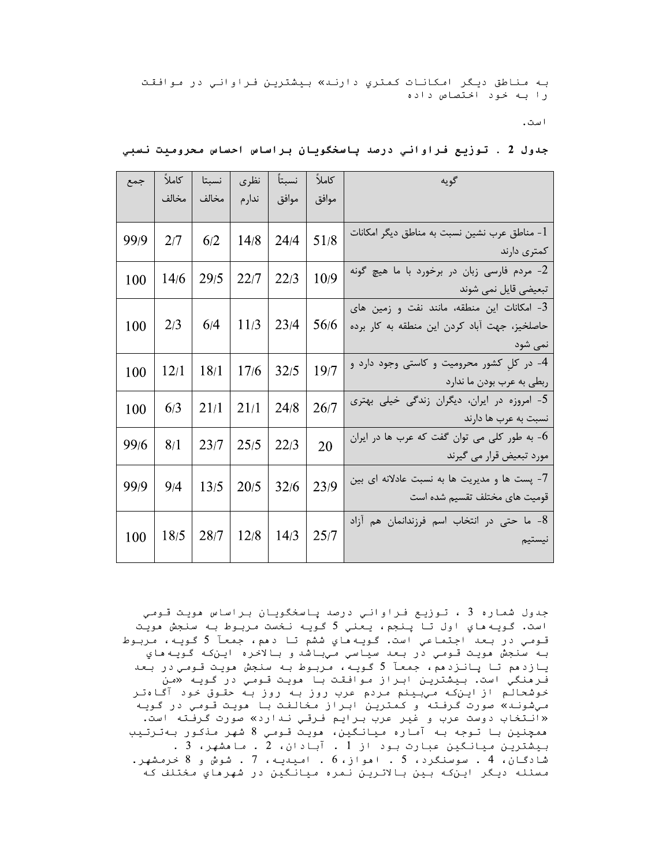به مناطق ديگر امکانات کمتري دارند» بيشترين فراواني در موافقت را به خود اختصاص داده

است.

| كاملأ<br>گويه                                                                                                    | نسبتأ | نظرى  | نسبتا | كاملاً | جمع  |
|------------------------------------------------------------------------------------------------------------------|-------|-------|-------|--------|------|
| موافق                                                                                                            | موافق | ندارم | مخالف | مخالف  |      |
| مناطق عرب نشین نسبت به مناطق دیگر امکانات -<br>51/8<br>كمترى دارند                                               | 24/4  | 14/8  | 6/2   | 2/7    | 99/9 |
| 2- مردم فارسی زبان در برخورد با ما هیچ گونه<br>10/9<br>تبعیضی قایل نمی شوند                                      | 22/3  | 22/7  | 29/5  | 14/6   | 100  |
| - امکانات این منطقه، مانند نفت و زمین های $3$<br>56/6<br>حاصلخيز، جهت آباد كردن اين منطقه به كار برده<br>نمي شود | 23/4  | 11/3  | 6/4   | 2/3    | 100  |
| 4- در کل کشور محرومیت و کاستی وجود دارد و<br>19/7<br>ربطی به عرب بودن ما ندارد                                   | 32/5  | 17/6  | 18/1  | 12/1   | 100  |
| 5- امروزه در ایران، دیگران زندگی خیلی بهتری<br>26/7<br>نسبت به عرب ها دارند                                      | 24/8  | 21/1  | 21/1  | 6/3    | 100  |
| - به طور کلی می توان گفت که عرب ها در ایران $\sim$<br>20<br>مورد تبعیض قرار می گیرند                             | 22/3  | 25/5  | 23/7  | 8/1    | 99/6 |
| 7- پست ها و مدیریت ها به نسبت عادلانه ای بین<br>23/9<br>قومیت های مختلف تقسیم شده است                            | 32/6  | 20/5  | 13/5  | 9/4    | 99/9 |
| 8- ما حتى در انتخاب اسم فرزندانمان هم آزاد<br>25/7<br>نيستيم                                                     | 14/3  | 12/8  | 28/7  | 18/5   | 100  |
|                                                                                                                  |       |       |       |        |      |

# جدول 2 . توزيع فراواني درصد پاسخگويان براساس احساس محروميت نسبي

جدول شماره 3 ، توزيع فراواني درصد پاسخگويان براساس مويت قومي است. گويه هاي اول تا پنجم، يعني 5 گويه نخست مربوط به سنجش مويت قـومـی در بـعد اجـتمـاعـی است. گـویـه مای ششم تـا دهم، جمعـآ 5 گـویـه، مـربـوط بـه سنجش مويـت قـومـي در بـعـد سيـاسي مـيبـاشد و بـالاخره ايـنکـه گـويـه ماي یازدهم تا پانزدهم، جمعآ 5 گویه، مربوط به سنجش هویت قومی در بعد فرمنگي است. بيشترين ابراز موافقت با مويت قومي در گويه «من خوشحالم از این که میبینم مردم عرب روز به روز به حقوق خود آگاهتر مي شونـد» صورت گرفـته و كمتريـن ابـراز مخالفت بـا هويـت قـومـي در گـويـه «انتخاب دوست عرب و غیر عرب برایم فرقی ندارد» صورت گرفته است. ممچنین با توجه به آماره میانگین، مویت قومی 8 شهر مذکور بهترتیب بیشترین میانگین عبارت بود از 1 . آبادان، 2 . ما مشهر، 3 . شادگـان، 4 . سوسنگرد، 5 . امواز، 6 . اميديـه، 7 . شوش و 8 خرمشهر. مسئله ديگر اينکه بين بالاترين نمره ميانگين در شهرهاي مختلف که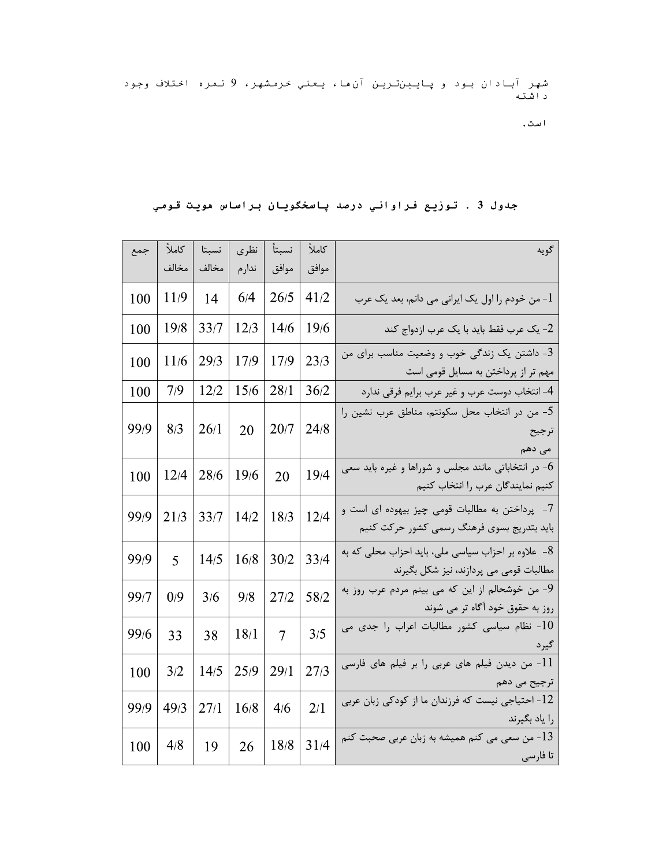شهر آبادان بود و پایینترین آنها، یعنی *خ*رمشهر، 9 نمره اختلاف وجود<br>داشته

است.

| جمع  | كاملأ | نسبتا | نظرى   | نسبتآ          | كاملاً | گويه                                                                                          |
|------|-------|-------|--------|----------------|--------|-----------------------------------------------------------------------------------------------|
|      | مخالف | مخالف | ندار م | موافق          | موافق  |                                                                                               |
| 100  | 11/9  | 14    | 6/4    | 26/5           | 41/2   | من خودم را اول یک ایرانی می دانم، بعد یک عرب -                                                |
| 100  | 19/8  | 33/7  | 12/3   | 14/6           | 19/6   | 2- یک عرب فقط باید با یک عرب ازدواج کند                                                       |
| 100  | 11/6  | 29/3  | 17/9   | 17/9           | 23/3   | 3- داشتن یک زندگی خوب و وضعیت مناسب برای من<br>مهم تر از پرداختن به مسایل قومی است            |
| 100  | 7/9   | 12/2  | 15/6   | 28/1           | 36/2   | 4- انتخاب دوست عرب و غير عرب برايم فرقي ندارد                                                 |
| 99/9 | 8/3   | 26/1  | 20     | 20/7           | 24/8   | 5- من در انتخاب محل سکونتم، مناطق عرب نشین را<br>ترجيح<br>می دهم                              |
| 100  | 12/4  | 28/6  | 19/6   | 20             | 19/4   | در انتخاباتی مانند مجلس و شوراها و غیره باید سعی $6\,$<br>كنيم نمايندگان عرب را انتخاب كنيم   |
| 99/9 | 21/3  | 33/7  | 14/2   | 18/3           | 12/4   | 7-۔ پرداختن به مطالبات قومی چیز بیهوده ای است و<br>باید بتدریج بسوی فرهنگ رسمی کشور حرکت کنیم |
| 99/9 | 5     | 14/5  | 16/8   | 30/2           | 33/4   | 8- علاوه بر احزاب سیاسی ملی، باید احزاب محلی که به<br>مطالبات قومی می پردازند، نیز شکل بگیرند |
| 99/7 | 0/9   | 3/6   | 9/8    | 27/2           | 58/2   | 9- من خوشحالم از این که می بینم مردم عرب روز به<br>روز به حقوق خود آگاه تر می شوند            |
| 99/6 | 33    | 38    | 18/1   | $\overline{7}$ | 3/5    | ۔ نظام سیاسی کشور مطالبات اعراب را جدی می $10$<br>گيرد                                        |
| 100  | 3/2   | 14/5  | 25/9   | 29/1           | 27/3   | 11- من دیدن فیلم های عربی را بر فیلم های فارسی<br>ترجیح می دهم                                |
| 99/9 | 49/3  | 27/1  | 16/8   | 4/6            | 2/1    | 12- احتیاجی نیست که فرزندان ما از کودکی زبان عربی<br>را ياد بگيرند                            |
| 100  | 4/8   | 19    | 26     | 18/8           | 31/4   | من سعی می کنم همیشه به زبان عربی صحبت کنم $\!13}$<br>تا فارسى                                 |

جدول 3 . توزيع فراواني درصد پاسخگويان براساس مويت قومي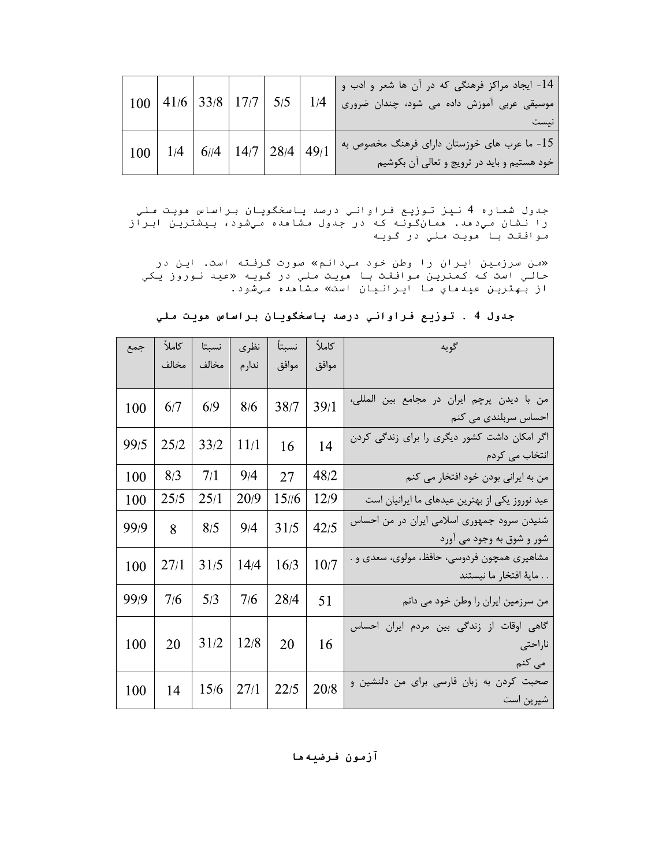|                                                                                                                                                                                                 |  | $100$   41/6   33/8   17/7   5/5   1/4 |  |  |                                                                                          | 14- ایجاد مراکز فرهنگی که در آن ها شعر و ادب و<br>موسیقی عربی آموزش داده می شود، چندان ضروری<br>نيست |  |  |  |
|-------------------------------------------------------------------------------------------------------------------------------------------------------------------------------------------------|--|----------------------------------------|--|--|------------------------------------------------------------------------------------------|------------------------------------------------------------------------------------------------------|--|--|--|
|                                                                                                                                                                                                 |  | 100   1/4   6//4   14/7   28/4   49/1  |  |  |                                                                                          | 15- ما عرب های خوزستان دارای فرهنگ مخصوص به<br>خود هستیم و باید در ترویج و تعالی آن بکوشیم           |  |  |  |
| جدول شماره 4 نيز توزيع فراواني درصد پاسخگويان براساس مويت ملي<br>را نشان میٖدهد. ممانگونـه کـه در جدول مشامده میِشود، بیِشتریِن ابراز<br>موافقت با مويت ملي در گويه                             |  |                                        |  |  |                                                                                          |                                                                                                      |  |  |  |
| «من سرزمین ایران را وطن خود میٍدانم» صورت گرفته است. این در<br>حالي است که کمترين <i>م</i> وافقت با هويت <i>م</i> لي در گويه «عيد نوروز يکي<br>از بهترين عيدهاي ما ايرانيان است» مشاهده مي شود. |  |                                        |  |  |                                                                                          |                                                                                                      |  |  |  |
| جدول 4 . توزيع فراواني درصد پاسخگويان براساس مويت ملي                                                                                                                                           |  |                                        |  |  |                                                                                          |                                                                                                      |  |  |  |
|                                                                                                                                                                                                 |  |                                        |  |  | كاملاً   نسبتاً   نظرى   نسبتا   كاملاً   جمع<br>  موافق   موافق   ندارم   مخالف   مخالف | ا است کويه ا                                                                                         |  |  |  |

| جدول شماره 4 نيز توزيع فراواني درصد پاسخگويان براساس مويت ملي<br>را نشان میدهد. همانگونه که در جدول مشاهده میشود، بیشترین ابراز<br>موافقت با هويت ملي در گويه<br>«من سرزمین ایران را وطن خود میدانم» صورت گرفته است. این در |        |       |        |       |       |      |  |  |  |
|-----------------------------------------------------------------------------------------------------------------------------------------------------------------------------------------------------------------------------|--------|-------|--------|-------|-------|------|--|--|--|
| حالي است که کمترين <i>م</i> وافقت با هويت <i>م</i> لي در گويه «عيد نوروز يکي<br>از بهترين عيدهاي ما ايرانيان است» مشاهده ميشود.                                                                                             |        |       |        |       |       |      |  |  |  |
| جدول 4 . توزيع فراواني درصد پاسخگويان براساس هويت ملي                                                                                                                                                                       |        |       |        |       |       |      |  |  |  |
| گويه                                                                                                                                                                                                                        | كاملأً | نسبتأ | نظرى   | نسبتا | كاملأ | جمع  |  |  |  |
|                                                                                                                                                                                                                             | موافق  | موافق | ندار م | مخالف | مخالف |      |  |  |  |
| من با ديدن پرچم ايران در مجامع بين المللي،<br>احساس سربلندی می کنم                                                                                                                                                          | 39/1   | 38/7  | 8/6    | 6/9   | 6/7   | 100  |  |  |  |
| اگر امکان داشت کشور دیگری را برای زندگی کردن<br>انتخاب می کردم                                                                                                                                                              | 14     | 16    | 11/1   | 33/2  | 25/2  | 99/5 |  |  |  |
| من به ایرانی بودن خود افتخار می کنم                                                                                                                                                                                         | 48/2   | 27    | 9/4    | 7/1   | 8/3   | 100  |  |  |  |
| عید نوروز یکی از بهترین عیدهای ما ایرانیان است                                                                                                                                                                              | 12/9   | 15/6  | 20/9   | 25/1  | 25/5  | 100  |  |  |  |
| شنیدن سرود جمهوری اسلامی ایران در من احساس<br>شور و شوق به وجود می اورد                                                                                                                                                     | 42/5   | 31/5  | 9/4    | 8/5   | 8     | 99/9 |  |  |  |
| مشاهیری همچون فردوسی، حافظ، مولوی، سعدی و .<br>. . ماية افتخار ما نيستند                                                                                                                                                    | 10/7   | 16/3  | 14/4   | 31/5  | 27/1  | 100  |  |  |  |
| من سرزمین ایران را وطن خود می دانم                                                                                                                                                                                          | 51     | 28/4  | 7/6    | 5/3   | 7/6   | 99/9 |  |  |  |
| گاهی اوقات از زندگی بین مردم ایران احساس<br>ناراحتى<br>می کنم                                                                                                                                                               | 16     | 20    | 12/8   | 31/2  | 20    | 100  |  |  |  |
| صحبت کردن به زبان فارسی برای من دلنشین و<br>شيرين است                                                                                                                                                                       | 20/8   | 22/5  | 27/1   | 15/6  | 14    | 100  |  |  |  |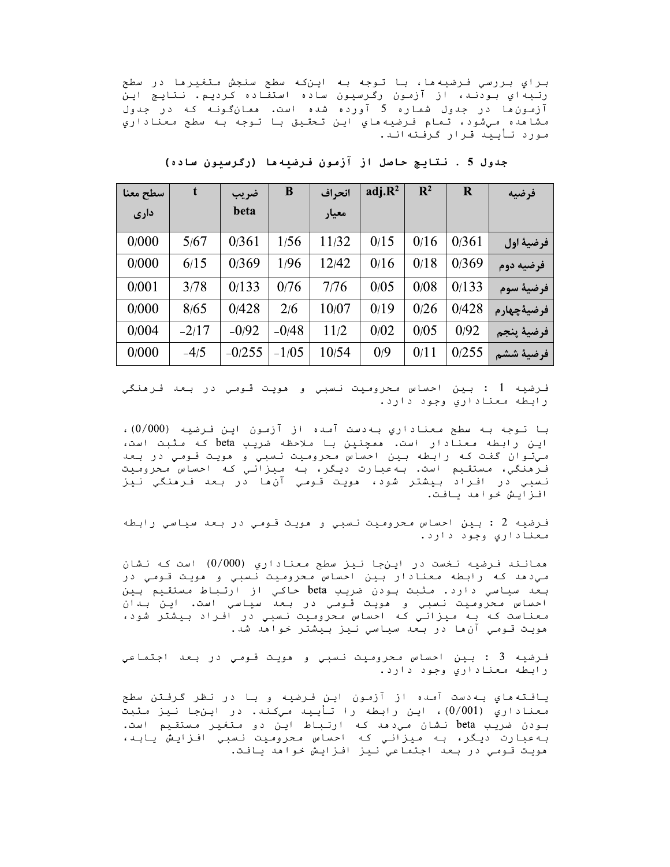براي بررسي فرضيه ها، با توجه به اينكه سطح سنجش متغيرها در سطح رتبهاي بودنـد، از آزمون رگرسيون ساده استفاده کرديم. نـتايـج اين آزمون ها در جدول شماره 5 آورده شده است. همانگونـه کـه در جدول مشاهده مي شود، تمام فرضيه هاي اين تحقيق با توجه به سطح معناداري مـورد تـأیـیـد قـرار گـرفـتـهانـد.

| سطح معنا | t       | ضريب     | B       | انحراف | adj.R <sup>2</sup> | $\mathbf{R}^2$ | $\mathbf R$ | افرضيه              |
|----------|---------|----------|---------|--------|--------------------|----------------|-------------|---------------------|
| داری     |         | beta     |         | معيار  |                    |                |             |                     |
| 0/000    | 5/67    | 0/361    | 1/56    | 11/32  | 0/15               | 0/16           | 0/361       | فرضية اول           |
| 0/000    | 6/15    | 0/369    | 1/96    | 12/42  | 0/16               | 0/18           | 0/369       | فرضيه دوم           |
| 0/001    | 3/78    | 0/133    | 0/76    | 7/76   | 0/05               | 0/08           | 0/133       | فرضية سوم           |
| 0/000    | 8/65    | 0/428    | 2/6     | 10/07  | 0/19               | 0/26           | 0/428       | <b>ِ فرضيةچهارم</b> |
| 0/004    | $-2/17$ | $-0/92$  | $-0/48$ | 11/2   | 0/02               | 0/05           | 0/92        | فرضية پنجم          |
| 0/000    | $-4/5$  | $-0/255$ | $-1/05$ | 10/54  | 0/9                | 0/11           | 0/255       | فرضية ششم           |

جدول 5 . نتايج حاصل از آزمون فرضيهها (رگرسيون ساده)

فـرضيه 1 : بين احساس مـحروميت نـسبي و هويت قـومي در بـعد فـرهنگي رابطه معناداري وجود دارد.

با تـوجه بـه سطح مـعناداري بـهدست آمـده از آزمـون ايـن فـرضيـه (0/000)، این رابطه معنادار است. ممچنین با ملاحظه ضریب beta که مثبت است، میتوان گفت که رابطه بین احساس محرومیت نسبی و مویت قومی در بعد فرمنگي، مستقيم است. بهعبارت ديگر، به ميزاني كه احساس محروميت نسبي در افـراد بـيشتر شود، مويت قـومـي آن،ها در بـعد فـرهنگي نـيز افـزايـش خـواهـد يـافـت.

فـرضيه 2 : بـين احساس مـحروميت نـسبي و هويت قـومي در بـعد سياسي رابطه معناداري وجود دارد.

همانند فـرضیه نخست در اینجا نیز سطح مـعناداري (000/0) است کـه نـشان مي دهد كه رابطه معنادار بين احساس محروميت نسبي و هويت قومي در بعد سياسي دارد. مثبت بودن ضريب beta حاكي از ارتباط مستقيم بين احساس محروميت نسبي و هويت قومي در بعد سياسي است. اين بدان معناست که به میزانی که احساس محرومیت نسبی در افراد بیشتر شود، مویت قـومـي آن ما در بـعد سیاسي نـیز بـیشتر خـواملا شد.

فـرضيـه 3 : بـين احساس مـحرومـيت نـسبـي و هويـت قـومـي در بـعد اجـتمـاعـي رابطه معناداري وجود دارد.

یافته هاي به دست آمده از آزمون اين فـرضيه و بـا در نظر گـرفـتن سطح معناداري (0/001)، این رابطه را تأیید میکند. در اینجا نیز مثبت بـودن ضریـب beta نـشان مـی‹مد کـه ارتـبـاط ایـن دو مـتغیـر مـستقـیم است. به عبارت ديگر، به ميزاني كه احساس محروميت نسبي افزايش يابد، مويت قومي در بعد اجتماعي نيز افزايش خواهد يافت.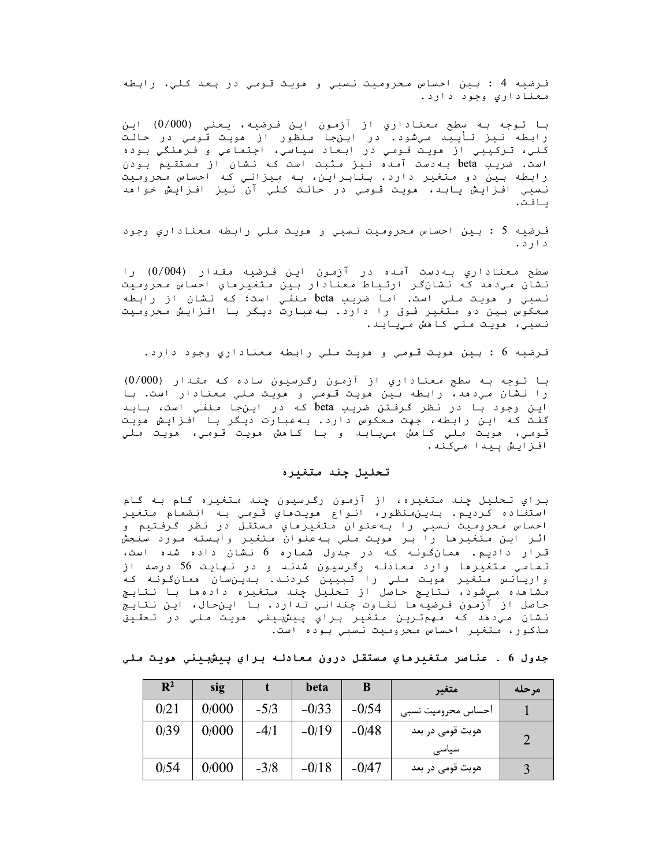فـرضيه 4 : بـين احساس مـحرومـيت نـسبي و هويـت قـومـي در بـعد كـلـي، رابطه معناداري وجود دارد.

با تـوجه بـه سطح مـعناداري از آزمـون ايـن فـرضيـه، يـعني (0/000) ايـن رابطه نیز تأیید میشود. در اینجا منظور از هویت قومی در حالت کلي، ترکيبي از مويت قـومي در ابـعاد سياسي، اجتماعي و فـرمنگي بـوده است. ضریب beta به دست آمده نیز مثبت است که نشان از مستقیم بودن رابطه بین دو متغیر دارد. بنابراین، به میزانیِ که احساس محرومیت نسبي افزايش يابد، مويت قـومي در حالت كلي آن نيز افـزايش خواهد ىافت.

فـرضيه 5 : بـِين احساس مـحرومـيت نـسبي و هويـت مـلي رابـطه مـعناداري وجود د ارد .

سطح معناداري بهدست آمده در آزمون اين فرضيه مقدار (0/004) را نشان میدهد که نشانگر ارتباط معنادار بین متغیرهاي احساس محرومیت نـسبي و هويـت مـلي است. امـا ضريب beta مـنفـي است؛ كـه نـشان از رابـطه معکوس بین دو متغیر فوق را دارد. بهعبارت دیگر با افزایش محرومیت نسبي، مويت ملي كامش مييابد.

فـرضيـه 6 : بـين هويـت قـومـي و هويـت مـلـي رابـطه مـعـنـاداري وجود دارد.

با توجه به سطح معناداري از آزمون رگرسيون ساده که مقدار (000/0) را نشان مي دهد، رابطه بين مويت قومي و مويت ملي معنادار است. با این وجود با در نظر گرفتن ضریب beta که در اینجا منفی است، باید گفت که این رابطه، جهت معکوس دارد. بهعبارت دیگر با افزایش هویت قـومي، مويت مـلي كـامش مييـابـد و بـا كـامش مويـت قـومي، مويـت مـلي افـزايـش پـيـدا مـيكـنـد.

#### تحليل چند متغيره

براي تحليل چند متغيره، از آزمون رگرسيون چند متغيره گام به گام .<br>استقاده كرديم. بىيىن نظور، انواع مويت ماي قومي به انضمام متغير احساس محروميت نسبي را بهعنوان متغيرهاي مستقل در نظر گرفتيم و اثـر ايـن مـتغيرها را بـر هويـت مـلي بـهعنوان مـتغيـر وابـسته مـورد سنجش قـرار دادیـم. ممانگـونـه کـه در جدول شمـاره 6 نـشان داده شده است، تمامي متغيرها وارد معادله رگرسيون شدند و در نهايت 56 درصد از واریانس متغیر مویت ملی را تبیین کردند. بدینسان ممانگونه که مشاهده میشود، نتایج حاصل از تحلیل چند متغیره دادهها با نتایج حاصل از آزمون فرضیهها تفاوت چندانی ندارد. با اینحال، این نتایج نشان مي‹مد که مهمترين متغير براي پيشبيني مويت ملي در تحقيق منڌلور، متغير احساس محروميت نسبي بوده است.

جدول 6 . عناصر متغیرمای مستقل درون معادله برای پیشبینی مویت ملی

| $\mathbf{R}^2$ | sig   |        | beta    | В       | متغير                     | مرحله |
|----------------|-------|--------|---------|---------|---------------------------|-------|
| 0/21           | 0/000 | $-5/3$ | $-0/33$ | $-0/54$ | احساس محروميت نسبى        |       |
| 0/39           | 0/000 | $-4/1$ | $-0/19$ | $-0/48$ | هويت قومي در بعد          |       |
| 0/54           | 0/000 | $-3/8$ | $-0/18$ | $-0/47$ | سیاسی<br>هویت قومی در بعد |       |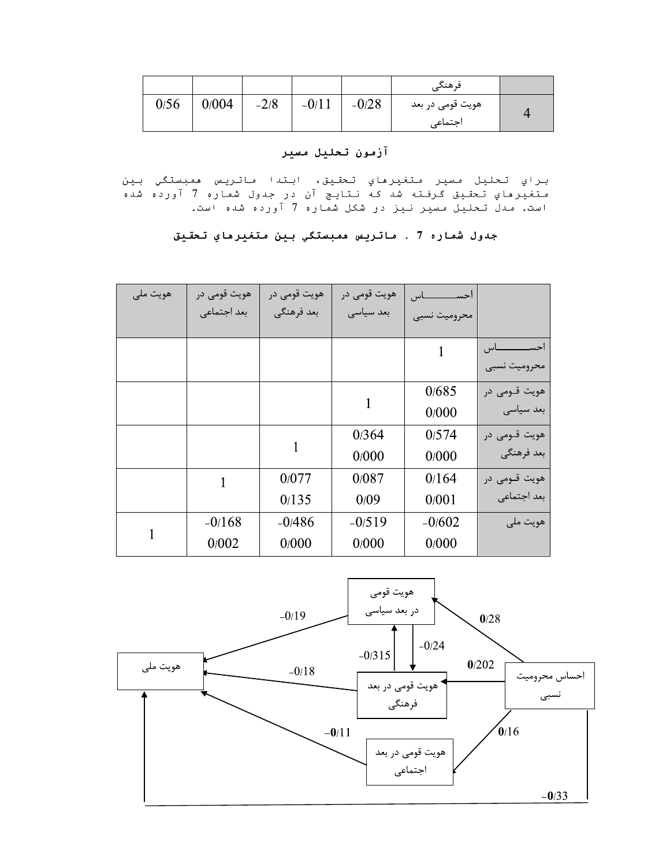|      |       |        |         |         | فرهنگے           |  |
|------|-------|--------|---------|---------|------------------|--|
| 0/56 | 0/004 | $-2/8$ | $-0/11$ | $-0/28$ | هویت قومی در بعد |  |
|      |       |        |         |         | اجتماعى          |  |

# آزمون تحليل مسير

براي تحليل مسير متغيرهاي تحقيق، ابتدا ماتريس ممبستگي بين 

# جدول شماره 7 . ماتريس ممبستگي بين متغيرماي تحقيق

| هويت ملي | هويت قومي در | هويت قومي در | هويت قومي در | ـاس<br>احسا  |                   |
|----------|--------------|--------------|--------------|--------------|-------------------|
|          | بعد اجتماعي  | بعد فرهنگي   | بعد سياسى    | محروميت نسبى |                   |
|          |              |              |              |              | احســــــــــــاس |
|          |              |              |              |              | محروميت نسبى      |
|          |              |              |              | 0/685        | هويت قــومى در    |
|          |              |              | 1            | 0/000        | بعد سیاسی         |
|          |              |              | 0/364        | 0/574        | هويت قــومى در    |
|          |              |              | 0/000        | 0/000        | بعد فرهنگي        |
|          |              | 0/077        | 0/087        | 0/164        | هويت قــومى در    |
|          |              | 0/135        | 0/09         | 0/001        | بعد اجتماعي       |
|          | $-0/168$     | $-0/486$     | $-0/519$     | $-0/602$     | هويت ملي          |
| 1        | 0/002        | 0/000        | 0/000        | 0/000        |                   |

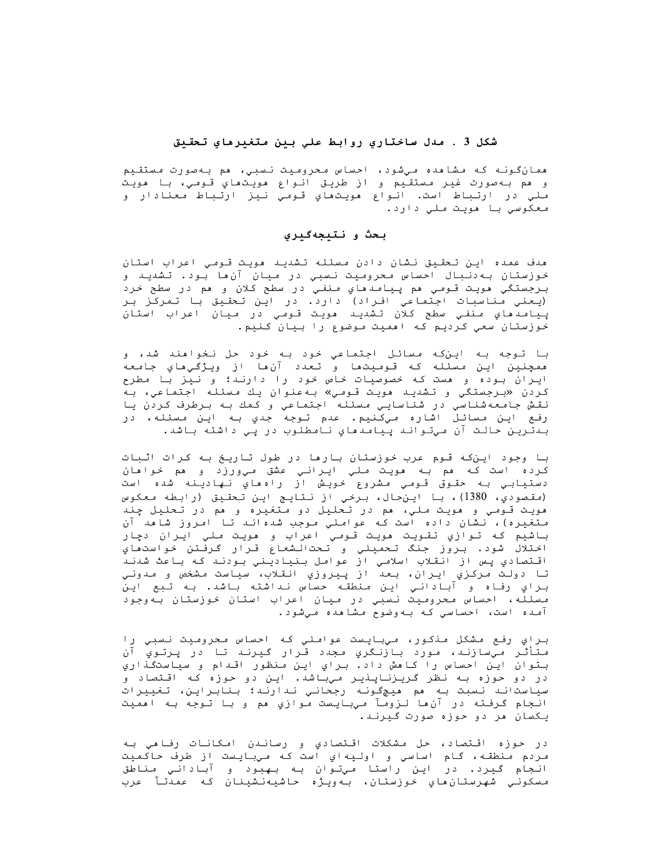# شكل 3 . مدل ساختاري روابط علي بين متغيرهاي تحقيق

همانگونـه کـه مـشاهده مـیشود، احساس مـحرومیت نـسبی، هم بـهصورت مـستقـیم و هم به صورت غير مستقيم و از طريق انواع مويتهاي قومي، با هويت ملي در ارتباط است. انواع مويتهاي قومي نيز ارتباط معنادار و معکوسي با مويت ملي دارد.

# بحث و نتيجهگيري

هدف عمده این تحقیق نشان دادن مسئله تشدید هویت قـومـی اعراب استان خوزستان به‹نبال احساس محرومیت نسبی در میان آنِ ابود. تشدید و برجستگي مويت قـومي هم پـيامـدهاي مـنفـي در سطح کلان و هم در سطح خرد (يعني مناسبات اجتماعي افراد) دارد. در اين تحقيق با تمركز بر پيامدهاي منفي سطح كلان تشديد هويت قومي در ميان اعراب استان خوزستان سعي كرديم كه امميت موضوع را بيان كنيم.

با توجه به اين که مسائل اجتماعي خود به خود حل نخواهند شد، و همچنين اين مسئله كه قوميتها و تعدد آنها از ويژگيهاي جامعه ایران بوده و هست که خصوصیات خاص خود را دارند؛ و نیز با مطرح كردن «برجستگي و تشديد هويت قومي» بهعنوان يك مسئله اجتماعي، به نقش جامعهشناسي در شناسايي مسئله اجتماعي و كمك به برطرف كردن يا رفع اين مسائل اشاره ميکنيم. عدم توجه جدي بـه اين مسئله، در بىدتـريـن حـالـت آن مـيتـوانـد پـيـامـدهـاي نـامطلـوب در پـي داشتـه بـاشد.

با وجود این که قوم عرب خوزستان بارها در طول تاریخ به کرات اثبات کرده است که مم به مويت ملي ايراني عشق ميورزد و مم خوامان دستيابي به حقوق قومي مشروع خويش از راهماي نهادينه شده است (مقصودي، 1380)، با اين حال، برخي از نتايج اين تحقيق (رابطه معكوس مويت قـومـي و مويت مـلي، مم در تـحليل دو مـتغيره و مم در تـحليل چند متغیره)، نشان داده است که عواملي موجب شدهاند تا امروز شاهد آن باشيم كه توازي تقويت هويت قومي اعراب و هويت ملي ايران دچار اختلالُ شود. بروّز جنگ تحميلي و تحتالشعاع قرار گرفتن خواستماي اقـتصادي پـس از انقـلاب اسلامـي از عوامل بـنياديـني بـودنـد کـه بـاعث شدنـدّ تا دولت مرکزي ايران، بعد از پيروزي انقلاب، سياست مشخص و مدوني براي رفاه و آباداني اين منطقه حساس نداشته باشد. به تبع اين مسئلّه، احساس محرومیت نسبی در میان اعراب استان خوزستان بهوجود آمده است، احساسی که بهوضوح مشاهده میشود.

براي رفع مشكل مذكور، ميبايست عواملي كه احساس محروميت نسبي را متأثر ميسازند، مورد بازنگري مجدد قرار گيرند تا در پرتوي آن بـتوان اين احساس را كاهش داد. براي اين منظور اقـدام و سياستگذاري در دو حوزه بـه نظر گریـزنـاپـنیـر میبـاشد. ایـن دو حوزه کـه اقـتصاد و سياستاند نسبت به هم ميچگونه رجحاني ندارند؛ بنابراين، تغييرات انجام گرفته در آنها لزومآ ميبايست موازي هم و با توجه به اهميت یکسان مر دو حوزه صورت گیرند.

در حوزه اقـتصاد، حل مشكلات اقـتصادي و رسانـدن امـكانـات رفـامي بـه .<br>مردم منطقه، گام اساسي و اوليهاي است كه ميبايست از طرف حاكميت انـجام گـيرد. در ايـن راستا مـيتـوان بـه بـهبود و آبـادانـي مـناطق مسکوني شهرستان،هاي خوزستان، بـهويـژه حاشيهنشينان کـه عمدتـآ عرب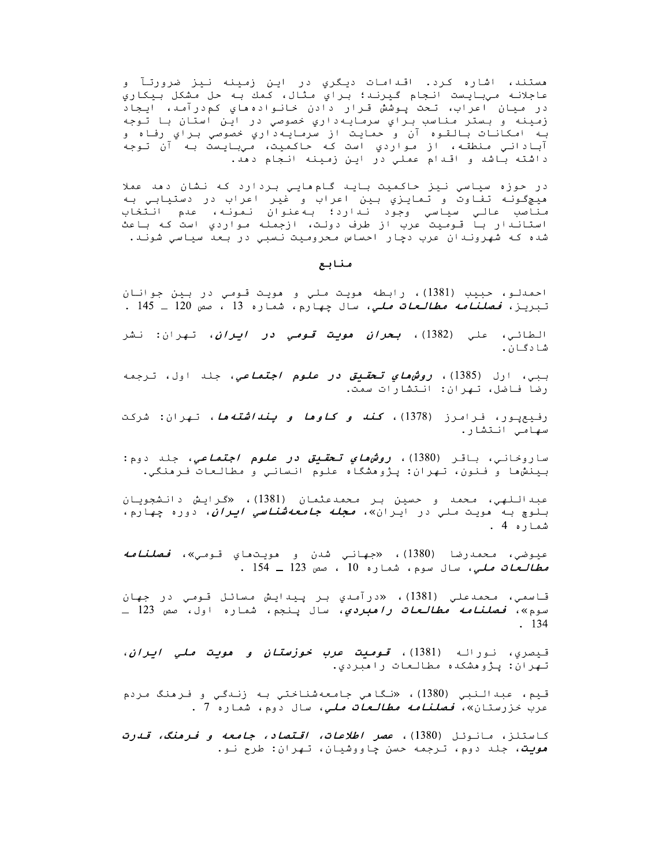مستند، اشاره کرد. اقدامات دیگري در این زمینه نیز ضرورتآ و عاجلانـه مـیبایـست انـجام گـیـرنـد؛ بـراي مـثال، کـمك بـه حل مـشکل بـیـکاري در ميان اعراب، تحت پـوشش قـرار دادن خانـواده هاي كم،درآمـد، ايـجاد زمينه و بستر مناسب براي سرمايهداري خصوصي در اين استان با توجه بـه امكانـات بـالقـوه آن و حمايـت از سرمـايـهداري خصوصي بـراي رفـاه و آبادانی منطقه، از مواردی است که حاکمیت، میبایست به آن توجه داشته باشد و اقدام عملي در اين زمينه انجام دهد.

در حوزه سیاسی نیز حاکمیت باید گام هایی بردارد که نشان دمد عملا هيچگونـه تفـاوت و تـمايـزي بـين اعراب و غير اعراب در دستيـابـي بـه مناصب عالي سياسي وجود ندارد؛ به عنوان نمونه، عدم انتخاب<br>مناصب عالي سياسي وجود ندارد؛ به عنوان نمونه، عدم انتخاب شده که شهروندان عرب دچار احساس محرومیت نسبي در بعد سیاسي شوند.

#### منابع

احمدلو، حبيب (1381)، رابطه مويت ملي و مويت قومي در بين جوانان تبريز، *فصلنامه مطالعات ملي*، سال چهارم، شماره 13 ، صص 120 ـ 145 .

الطائي، علي (1382)، *بحران مويت قومي در <i>ايران***،** تهران: نشر شادگان.

ببي، ارل (1385)، *روشھاي تحقيق در علوم اجتماعي*، جلد اول، ترجمه رضا فاضل، تهران: انتشارات سمت.

رفیعیـور، فـرامـرز (1378)، *کـغـه و کـاوها و پـغـه اشتـه هـا*، تـهـران: شرکـت سهامي انتشار.

ساروخانی، باقـر (1380)، *روشهدای تـحقـیق در علوم اجتماعی، ج*لد دوم**:** بينشها و فنون، تهران: پژوهشگاه علوم انساني و مطالعات فرهنگي.

عبداللهي، محمد و حسين بر محمدعثمان (1381)، «گرايش دانشجويان بلوچ به مويت *م*لي در ايران»، *مجله جامعهشناسي ايران*، دوره چهارم، شماره 4 .

عيوضي، *م*حمدرضا (1380)، «*ج*هاني شدن و مويتماي قومي»، *فصلنامه مطالعات ملی***،** سال سوم، شماره 10 ، صص 123 ـ 154 .

قاسمی، محمدعلی (1381)، «درآمدی بر پیدایش مسائل قومی در جهان سوم»، *فصلنامه مطالعات راهبردي*، سال پنجم، شماره اول، صص 123 ـ  $. 134$ 

قيصري، نـورالـه (1381)، *قـوميت عرب خوزستان و هويت ملي ايران*، تـهران: پـژوهشکده مطالعات راهبردي.

قيم، عبدالنبي (1380)، «نگاهي جامعهشناختي به زندگي و فرهنگ مردم عرب *خ*زرستان»، *<i>فصلنامه مطالعات ملی،* سال دوم، شماره 7 .

كاستلز، مانوئل (1380)، *عصر اطلاعات، اقتصاد، جا<i>معه و فرمنگ، قدرت هويت، ج*لد دوم، ترجمه حسن چاووشيان، تهران: طرح نو.